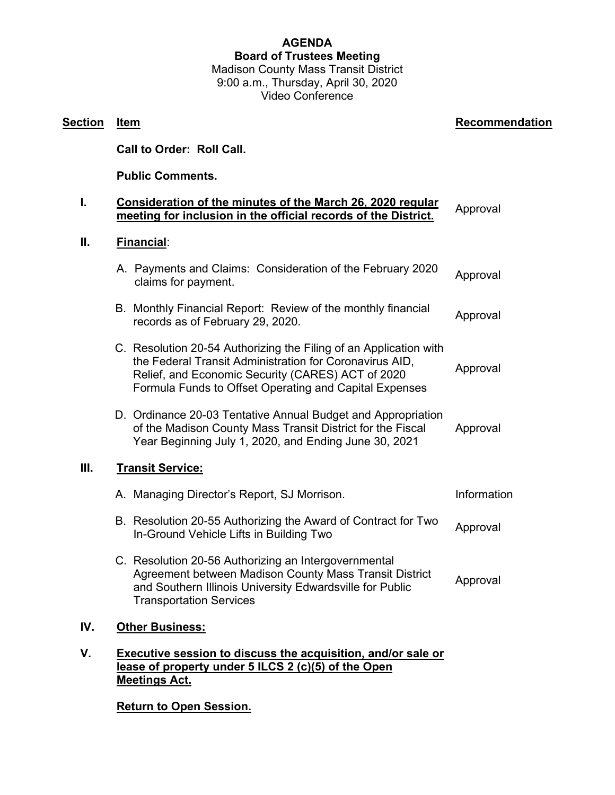## **AGENDA Board of Trustees Meeting** Madison County Mass Transit District

9:00 a.m., Thursday, April 30, 2020 Video Conference

## **Section Item Recommendation Recommendation Call to Order: Roll Call. Public Comments. I. Consideration of the minutes of the March 26, 2020 regular <u>CONSIGERMON OF THE INITIALES OF THE MATCH 20, 2020 TEGRIAL</u> Approval II. Financial**: A. Payments and Claims: Consideration of the February 2020 claims for payment. Approval B. Monthly Financial Report: Review of the monthly financial monthly mandal report. Review of the monthly infancial Approval C. Resolution 20-54 Authorizing the Filing of an Application with the Federal Transit Administration for Coronavirus AID, Relief, and Economic Security (CARES) ACT of 2020 Formula Funds to Offset Operating and Capital Expenses Approval D. Ordinance 20-03 Tentative Annual Budget and Appropriation of the Madison County Mass Transit District for the Fiscal Year Beginning July 1, 2020, and Ending June 30, 2021 Approval **III. Transit Service:** A. Managing Director's Report, SJ Morrison. The example of the Information B. Resolution 20-55 Authorizing the Award of Contract for Two In-Ground Vehicle Lifts in Building Two<br>In-Ground Vehicle Lifts in Building Two C. Resolution 20-56 Authorizing an Intergovernmental Agreement between Madison County Mass Transit District and Southern Illinois University Edwardsville for Public Transportation Services Approval **IV. Other Business: V. Executive session to discuss the acquisition, and/or sale or lease of property under 5 ILCS 2 (c)(5) of the Open Meetings Act.**

## **Return to Open Session.**